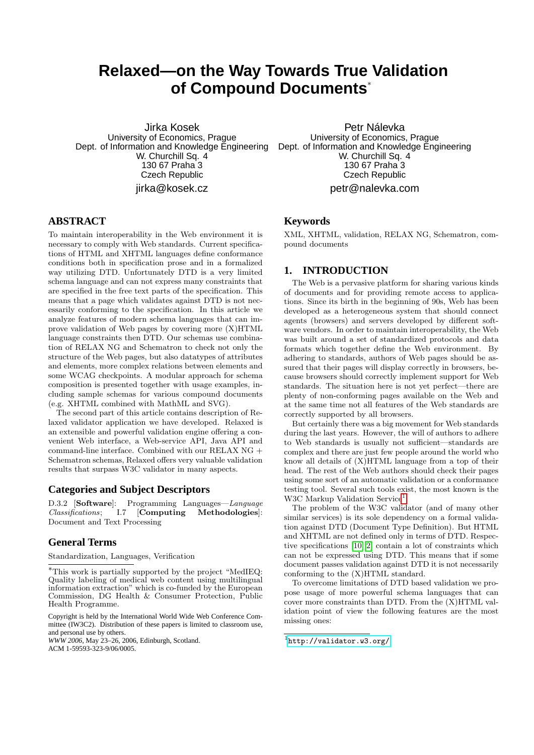# **Relaxed—on the Way Towards True Validation of Compound Documents**<sup>∗</sup>

Jirka Kosek University of Economics, Prague Dept. of Information and Knowledge Engineering W. Churchill Sq. 4 130 67 Praha 3 Czech Republic jirka@kosek.cz

Petr Nálevka University of Economics, Prague Dept. of Information and Knowledge Engineering W. Churchill Sq. 4 130 67 Praha 3 Czech Republic petr@nalevka.com

# **Keywords**

XML, XHTML, validation, RELAX NG, Schematron, compound documents

### **1. INTRODUCTION**

The Web is a pervasive platform for sharing various kinds of documents and for providing remote access to applications. Since its birth in the beginning of 90s, Web has been developed as a heterogeneous system that should connect agents (browsers) and servers developed by different software vendors. In order to maintain interoperability, the Web was built around a set of standardized protocols and data formats which together define the Web environment. By adhering to standards, authors of Web pages should be assured that their pages will display correctly in browsers, because browsers should correctly implement support for Web standards. The situation here is not yet perfect—there are plenty of non-conforming pages available on the Web and at the same time not all features of the Web standards are correctly supported by all browsers.

But certainly there was a big movement for Web standards during the last years. However, the will of authors to adhere to Web standards is usually not sufficient—standards are complex and there are just few people around the world who know all details of (X)HTML language from a top of their head. The rest of the Web authors should check their pages using some sort of an automatic validation or a conformance testing tool. Several such tools exist, the most known is the W3C Markup Validation Service<sup>[1](#page-0-0)</sup>.

The problem of the W3C validator (and of many other similar services) is its sole dependency on a formal validation against DTD (Document Type Definition). But HTML and XHTML are not defined only in terms of DTD. Respective specifications [\[10\]](#page-9-0)[\[2\]](#page-9-1) contain a lot of constraints which can not be expressed using DTD. This means that if some document passes validation against DTD it is not necessarily conforming to the (X)HTML standard.

To overcome limitations of DTD based validation we propose usage of more powerful schema languages that can cover more constraints than DTD. From the (X)HTML validation point of view the following features are the most missing ones:

### **ABSTRACT**

To maintain interoperability in the Web environment it is necessary to comply with Web standards. Current specifications of HTML and XHTML languages define conformance conditions both in specification prose and in a formalized way utilizing DTD. Unfortunately DTD is a very limited schema language and can not express many constraints that are specified in the free text parts of the specification. This means that a page which validates against DTD is not necessarily conforming to the specification. In this article we analyze features of modern schema languages that can improve validation of Web pages by covering more (X)HTML language constraints then DTD. Our schemas use combination of RELAX NG and Schematron to check not only the structure of the Web pages, but also datatypes of attributes and elements, more complex relations between elements and some WCAG checkpoints. A modular approach for schema composition is presented together with usage examples, including sample schemas for various compound documents (e.g. XHTML combined with MathML and SVG).

The second part of this article contains description of Relaxed validator application we have developed. Relaxed is an extensible and powerful validation engine offering a convenient Web interface, a Web-service API, Java API and command-line interface. Combined with our RELAX NG + Schematron schemas, Relaxed offers very valuable validation results that surpass W3C validator in many aspects.

### **Categories and Subject Descriptors**

D.3.2 [Software]: Programming Languages—Language Classifications; I.7 [Computing Methodologies]: Document and Text Processing

### **General Terms**

Standardization, Languages, Verification

<span id="page-0-0"></span><sup>1</sup> <http://validator.w3.org/>

<sup>∗</sup>This work is partially supported by the project "MedIEQ: Quality labeling of medical web content using multilingual information extraction" which is co-funded by the European Commission, DG Health & Consumer Protection, Public Health Programme.

Copyright is held by the International World Wide Web Conference Committee (IW3C2). Distribution of these papers is limited to classroom use, and personal use by others.

*WWW 2006*, May 23–26, 2006, Edinburgh, Scotland. ACM 1-59593-323-9/06/0005.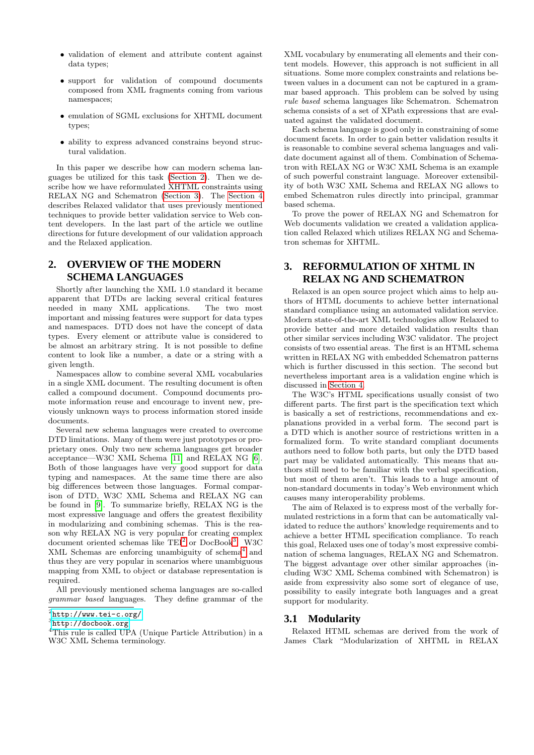- validation of element and attribute content against data types;
- support for validation of compound documents composed from XML fragments coming from various namespaces;
- emulation of SGML exclusions for XHTML document types;
- ability to express advanced constrains beyond structural validation.

In this paper we describe how can modern schema languages be utilized for this task [\(Section 2\)](#page-1-0). Then we describe how we have reformulated XHTML constraints using RELAX NG and Schematron [\(Section 3\)](#page-1-1). The [Section 4](#page-4-0) describes Relaxed validator that uses previously mentioned techniques to provide better validation service to Web content developers. In the last part of the article we outline directions for future development of our validation approach and the Relaxed application.

# **2. OVERVIEW OF THE MODERN SCHEMA LANGUAGES**

<span id="page-1-0"></span>Shortly after launching the XML 1.0 standard it became apparent that DTDs are lacking several critical features needed in many XML applications. The two most important and missing features were support for data types and namespaces. DTD does not have the concept of data types. Every element or attribute value is considered to be almost an arbitrary string. It is not possible to define content to look like a number, a date or a string with a given length.

Namespaces allow to combine several XML vocabularies in a single XML document. The resulting document is often called a compound document. Compound documents promote information reuse and encourage to invent new, previously unknown ways to process information stored inside documents.

Several new schema languages were created to overcome DTD limitations. Many of them were just prototypes or proprietary ones. Only two new schema languages get broader acceptance—W3C XML Schema [\[11\]](#page-9-2) and RELAX NG [\[6\]](#page-9-3). Both of those languages have very good support for data typing and namespaces. At the same time there are also big differences between those languages. Formal comparison of DTD, W3C XML Schema and RELAX NG can be found in [\[9\]](#page-9-4). To summarize briefly, RELAX NG is the most expressive language and offers the greatest flexibility in modularizing and combining schemas. This is the reason why RELAX NG is very popular for creating complex document oriented schemas like TEI<sup>[2](#page-1-2)</sup> or DocBook<sup>[3](#page-1-3)</sup>. W3C XML Schemas are enforcing unambiguity of schema<sup>[4](#page-1-4)</sup> and thus they are very popular in scenarios where unambiguous mapping from XML to object or database representation is required.

All previously mentioned schema languages are so-called grammar based languages. They define grammar of the

<span id="page-1-4"></span><sup>4</sup>This rule is called UPA (Unique Particle Attribution) in a W3C XML Schema terminology.

XML vocabulary by enumerating all elements and their content models. However, this approach is not sufficient in all situations. Some more complex constraints and relations between values in a document can not be captured in a grammar based approach. This problem can be solved by using rule based schema languages like Schematron. Schematron schema consists of a set of XPath expressions that are evaluated against the validated document.

Each schema language is good only in constraining of some document facets. In order to gain better validation results it is reasonable to combine several schema languages and validate document against all of them. Combination of Schematron with RELAX NG or W3C XML Schema is an example of such powerful constraint language. Moreover extensibility of both W3C XML Schema and RELAX NG allows to embed Schematron rules directly into principal, grammar based schema.

To prove the power of RELAX NG and Schematron for Web documents validation we created a validation application called Relaxed which utilizes RELAX NG and Schematron schemas for XHTML.

# **3. REFORMULATION OF XHTML IN RELAX NG AND SCHEMATRON**

<span id="page-1-1"></span>Relaxed is an open source project which aims to help authors of HTML documents to achieve better international standard compliance using an automated validation service. Modern state-of-the-art XML technologies allow Relaxed to provide better and more detailed validation results than other similar services including W3C validator. The project consists of two essential areas. The first is an HTML schema written in RELAX NG with embedded Schematron patterns which is further discussed in this section. The second but nevertheless important area is a validation engine which is discussed in [Section 4.](#page-4-0)

The W3C's HTML specifications usually consist of two different parts. The first part is the specification text which is basically a set of restrictions, recommendations and explanations provided in a verbal form. The second part is a DTD which is another source of restrictions written in a formalized form. To write standard compliant documents authors need to follow both parts, but only the DTD based part may be validated automatically. This means that authors still need to be familiar with the verbal specification, but most of them aren't. This leads to a huge amount of non-standard documents in today's Web environment which causes many interoperability problems.

The aim of Relaxed is to express most of the verbally formulated restrictions in a form that can be automatically validated to reduce the authors' knowledge requirements and to achieve a better HTML specification compliance. To reach this goal, Relaxed uses one of today's most expressive combination of schema languages, RELAX NG and Schematron. The biggest advantage over other similar approaches (including W3C XML Schema combined with Schematron) is aside from expressivity also some sort of elegance of use, possibility to easily integrate both languages and a great support for modularity.

# **3.1 Modularity**

Relaxed HTML schemas are derived from the work of James Clark "Modularization of XHTML in RELAX

<span id="page-1-2"></span> $^{2}$ <http://www.tei-c.org/>

<span id="page-1-3"></span> ${}^{3}$ <http://docbook.org>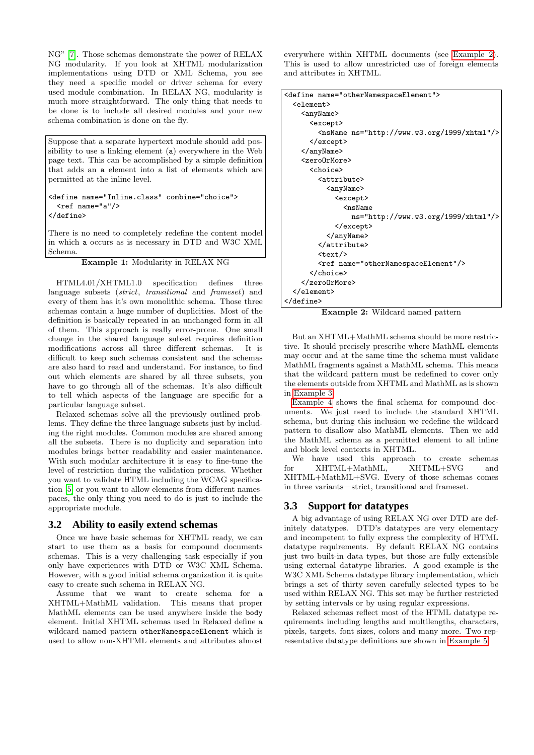NG" [\[7\]](#page-9-5). Those schemas demonstrate the power of RELAX NG modularity. If you look at XHTML modularization implementations using DTD or XML Schema, you see they need a specific model or driver schema for every used module combination. In RELAX NG, modularity is much more straightforward. The only thing that needs to be done is to include all desired modules and your new schema combination is done on the fly.

Suppose that a separate hypertext module should add possibility to use a linking element (a) everywhere in the Web page text. This can be accomplished by a simple definition that adds an a element into a list of elements which are permitted at the inline level.

<define name="Inline.class" combine="choice"> <ref name="a"/> </define>

There is no need to completely redefine the content model in which a occurs as is necessary in DTD and W3C XML Schema.

# Example 1: Modularity in RELAX NG

HTML4.01/XHTML1.0 specification defines three language subsets (strict, transitional and frameset) and every of them has it's own monolithic schema. Those three schemas contain a huge number of duplicities. Most of the definition is basically repeated in an unchanged form in all of them. This approach is really error-prone. One small change in the shared language subset requires definition modifications across all three different schemas. It is difficult to keep such schemas consistent and the schemas are also hard to read and understand. For instance, to find out which elements are shared by all three subsets, you have to go through all of the schemas. It's also difficult to tell which aspects of the language are specific for a particular language subset.

Relaxed schemas solve all the previously outlined problems. They define the three language subsets just by including the right modules. Common modules are shared among all the subsets. There is no duplicity and separation into modules brings better readability and easier maintenance. With such modular architecture it is easy to fine-tune the level of restriction during the validation process. Whether you want to validate HTML including the WCAG specification [\[5\]](#page-9-6) or you want to allow elements from different namespaces, the only thing you need to do is just to include the appropriate module.

# **3.2 Ability to easily extend schemas**

<span id="page-2-1"></span>Once we have basic schemas for XHTML ready, we can start to use them as a basis for compound documents schemas. This is a very challenging task especially if you only have experiences with DTD or W3C XML Schema. However, with a good initial schema organization it is quite easy to create such schema in RELAX NG.

Assume that we want to create schema for a XHTML+MathML validation. This means that proper MathML elements can be used anywhere inside the body element. Initial XHTML schemas used in Relaxed define a wildcard named pattern otherNamespaceElement which is used to allow non-XHTML elements and attributes almost

everywhere within XHTML documents (see [Example 2\)](#page-2-0). This is used to allow unrestricted use of foreign elements and attributes in XHTML.

| <define name="otherNamespaceElement"></define>      |
|-----------------------------------------------------|
| <element></element>                                 |
| <anyname></anyname>                                 |
| <except></except>                                   |
| <nsname ns="http://www.w3.org/1999/xhtml"></nsname> |
|                                                     |
|                                                     |
| <zeroormore></zeroormore>                           |
| <choice></choice>                                   |
| <attribute></attribute>                             |
| <anyname></anyname>                                 |
| <except></except>                                   |
| <b><nsname< b=""></nsname<></b>                     |
| ns="http://www.w3.org/1999/xhtml"/>                 |
|                                                     |
|                                                     |
|                                                     |
| $\text{text/}$                                      |
| <ref name="otherNamespaceElement"></ref>            |
|                                                     |
|                                                     |
|                                                     |
|                                                     |

Example 2: Wildcard named pattern

<span id="page-2-0"></span>But an XHTML+MathML schema should be more restrictive. It should precisely prescribe where MathML elements may occur and at the same time the schema must validate MathML fragments against a MathML schema. This means that the wildcard pattern must be redefined to cover only the elements outside from XHTML and MathML as is shown in [Example 3.](#page-3-0)

[Example 4](#page-3-1) shows the final schema for compound documents. We just need to include the standard XHTML schema, but during this inclusion we redefine the wildcard pattern to disallow also MathML elements. Then we add the MathML schema as a permitted element to all inline and block level contexts in XHTML.

We have used this approach to create schemas for XHTML+MathML, XHTML+SVG and XHTML+MathML+SVG. Every of those schemas comes in three variants—strict, transitional and frameset.

# **3.3 Support for datatypes**

A big advantage of using RELAX NG over DTD are definitely datatypes. DTD's datatypes are very elementary and incompetent to fully express the complexity of HTML datatype requirements. By default RELAX NG contains just two built-in data types, but those are fully extensible using external datatype libraries. A good example is the W3C XML Schema datatype library implementation, which brings a set of thirty seven carefully selected types to be used within RELAX NG. This set may be further restricted by setting intervals or by using regular expressions.

Relaxed schemas reflect most of the HTML datatype requirements including lengths and multilengths, characters, pixels, targets, font sizes, colors and many more. Two representative datatype definitions are shown in [Example 5.](#page-3-2)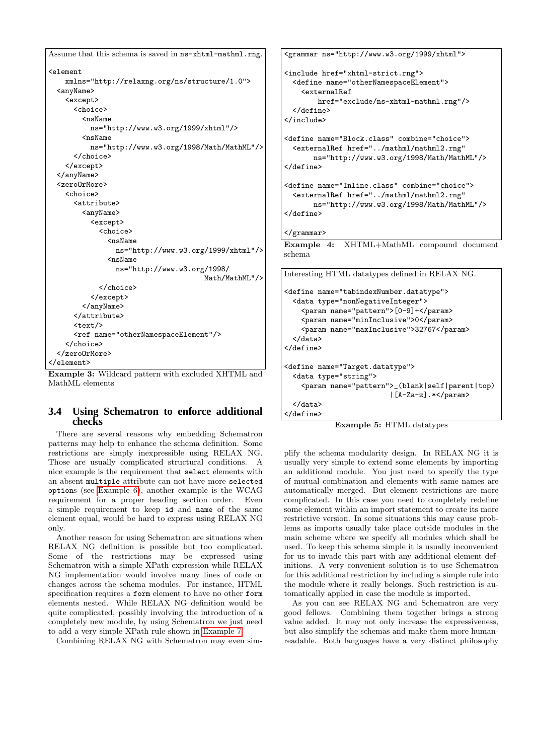```
Assume that this schema is saved in ns-xhtml-mathml.rng.
<element
   xmlns="http://relaxng.org/ns/structure/1.0">
 <anyName>
   <except>
     <choice>
        <nsName
          ns="http://www.w3.org/1999/xhtml"/>
        <nsName
          ns="http://www.w3.org/1998/Math/MathML"/>
      </choice>
   </except>
 </anyName>
 <zeroOrMore>
   <choice>
     <attribute>
        <anyName>
          <except>
            <choice>
              <nsName
                ns="http://www.w3.org/1999/xhtml"/>
              <nsName
                ns="http://www.w3.org/1998/
                                       Math/MathML"/>
            </choice>
          </except>
        </anyName>
      </attribute>
      <text/><ref name="otherNamespaceElement"/>
   </choice>
 </zeroOrMore>
\langle/element>
```
<span id="page-3-0"></span>Example 3: Wildcard pattern with excluded XHTML and MathML elements

# **3.4 Using Schematron to enforce additional checks**

There are several reasons why embedding Schematron patterns may help to enhance the schema definition. Some restrictions are simply inexpressible using RELAX NG. Those are usually complicated structural conditions. A nice example is the requirement that select elements with an absent multiple attribute can not have more selected options (see [Example 6\)](#page-4-1), another example is the WCAG requirement for a proper heading section order. Even a simple requirement to keep id and name of the same element equal, would be hard to express using RELAX NG only.

Another reason for using Schematron are situations when RELAX NG definition is possible but too complicated. Some of the restrictions may be expressed using Schematron with a simple XPath expression while RELAX NG implementation would involve many lines of code or changes across the schema modules. For instance, HTML specification requires a form element to have no other form elements nested. While RELAX NG definition would be quite complicated, possibly involving the introduction of a completely new module, by using Schematron we just need to add a very simple XPath rule shown in [Example 7.](#page-4-2)

Combining RELAX NG with Schematron may even sim-

```
<grammar ns="http://www.w3.org/1999/xhtml">
<include href="xhtml-strict.rng">
 <define name="otherNamespaceElement">
    <externalRef
       href="exclude/ns-xhtml-mathml.rng"/>
 </define>
</include>
<define name="Block.class" combine="choice">
 <externalRef href="../mathml/mathml2.rng"
       ns="http://www.w3.org/1998/Math/MathML"/>
</define>
```

```
<define name="Inline.class" combine="choice">
 <externalRef href="../mathml/mathml2.rng"
      ns="http://www.w3.org/1998/Math/MathML"/>
</define>
```
#### </grammar>

<span id="page-3-1"></span>Example 4: XHTML+MathML compound document schema

```
Interesting HTML datatypes defined in RELAX NG.
<define name="tabindexNumber.datatype">
  <data type="nonNegativeInteger">
    <param name="pattern">[0-9]+</param>
    <param name="minInclusive">0</param>
    <param name="maxInclusive">32767</param>
  </data>
</define>
<define name="Target.datatype">
  <data type="string">
    <param name="pattern">_(blank|self|parent|top)
                          |[A-Za-z].*</param>
  </data>
</define>
```
Example 5: HTML datatypes

<span id="page-3-2"></span>plify the schema modularity design. In RELAX NG it is usually very simple to extend some elements by importing an additional module. You just need to specify the type of mutual combination and elements with same names are automatically merged. But element restrictions are more complicated. In this case you need to completely redefine some element within an import statement to create its more restrictive version. In some situations this may cause problems as imports usually take place outside modules in the main scheme where we specify all modules which shall be used. To keep this schema simple it is usually inconvenient for us to invade this part with any additional element definitions. A very convenient solution is to use Schematron for this additional restriction by including a simple rule into the module where it really belongs. Such restriction is automatically applied in case the module is imported.

As you can see RELAX NG and Schematron are very good fellows. Combining them together brings a strong value added. It may not only increase the expressiveness, but also simplify the schemas and make them more humanreadable. Both languages have a very distinct philosophy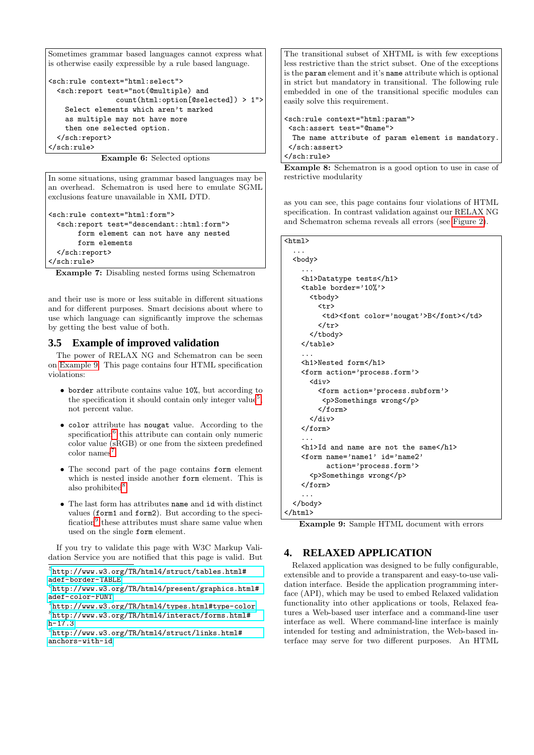Sometimes grammar based languages cannot express what is otherwise easily expressible by a rule based language.

```
<sch:rule context="html:select">
 <sch:report test="not(@multiple) and
                count(html:option[@selected]) > 1">
   Select elements which aren't marked
   as multiple may not have more
   then one selected option.
 </sch:report>
</sch:rule>
```
Example 6: Selected options

<span id="page-4-1"></span>In some situations, using grammar based languages may be an overhead. Schematron is used here to emulate SGML exclusions feature unavailable in XML DTD.

```
<sch:rule context="html:form">
  <sch:report test="descendant::html:form">
       form element can not have any nested
       form elements
  </sch:report>
</sch:rule>
```
<span id="page-4-2"></span>Example 7: Disabling nested forms using Schematron

and their use is more or less suitable in different situations and for different purposes. Smart decisions about where to use which language can significantly improve the schemas by getting the best value of both.

# **3.5 Example of improved validation**

<span id="page-4-9"></span>The power of RELAX NG and Schematron can be seen on [Example 9.](#page-4-3) This page contains four HTML specification violations:

- border attribute contains value 10%, but according to the specification it should contain only integer value<sup>[5](#page-4-4)</sup>, not percent value.
- color attribute has nougat value. According to the specification<sup>[6](#page-4-5)</sup> this attribute can contain only numeric color value (sRGB) or one from the sixteen predefined color names<sup>[7](#page-4-6)</sup>.
- The second part of the page contains form element which is nested inside another form element. This is also prohibited<sup>[8](#page-4-7)</sup>.
- The last form has attributes name and id with distinct values (form1 and form2). But according to the speci-fication<sup>[9](#page-4-8)</sup> these attributes must share same value when used on the single form element.

If you try to validate this page with W3C Markup Validation Service you are notified that this page is valid. But

```
5http://www.w3.org/TR/html4/struct/tables.html#
adef-border-TABLE
```
<span id="page-4-5"></span> $^6$ [http://www.w3.org/TR/html4/present/graphics.html#](http://www.w3.org/TR/html4/present/graphics.html#adef-color-FONT) [adef-color-FONT](http://www.w3.org/TR/html4/present/graphics.html#adef-color-FONT)

```
^{7}http://www.w3.org/TR/html4/types.html#type-color
8
http://www.w3.org/TR/html4/interact/forms.html#
h-17.3
```

```
^{9}http://www.w3.org/TR/html4/struct/links.html#
anchors-with-id
```
The transitional subset of XHTML is with few exceptions less restrictive than the strict subset. One of the exceptions is the param element and it's name attribute which is optional in strict but mandatory in transitional. The following rule embedded in one of the transitional specific modules can easily solve this requirement.

```
<sch:rule context="html:param">
<sch:assert test="@name">
 The name attribute of param element is mandatory.
</sch:assert>
</sch:rule>
```
Example 8: Schematron is a good option to use in case of restrictive modularity

as you can see, this page contains four violations of HTML specification. In contrast validation against our RELAX NG and Schematron schema reveals all errors (see [Figure 2\)](#page-6-0).

```
\hbox{\tt <html>>}...
  <body>
    ...
    <h1>Datatype tests</h1>
    <table border='10%'>
      <tbody>
        <tr>
         <td><font color='nougat'>B</font></td>
        \langle/tr>
      </tbody>
    </table>
    ...
    <h1>Nested form</h1>
    <form action='process.form'>
      <div>
        <form action='process.subform'>
         <p>Somethings wrong</p>
        </form>
      </div>
    </form>
    ...
    <h1>Id and name are not the same</h1>
    <form name='name1' id='name2'
          action='process.form'>
      <p>Somethings wrong</p>
    </form>
    ...
  </body>
</html>
```
<span id="page-4-3"></span>Example 9: Sample HTML document with errors

# **4. RELAXED APPLICATION**

<span id="page-4-0"></span>Relaxed application was designed to be fully configurable, extensible and to provide a transparent and easy-to-use validation interface. Beside the application programming interface (API), which may be used to embed Relaxed validation functionality into other applications or tools, Relaxed features a Web-based user interface and a command-line user interface as well. Where command-line interface is mainly intended for testing and administration, the Web-based interface may serve for two different purposes. An HTML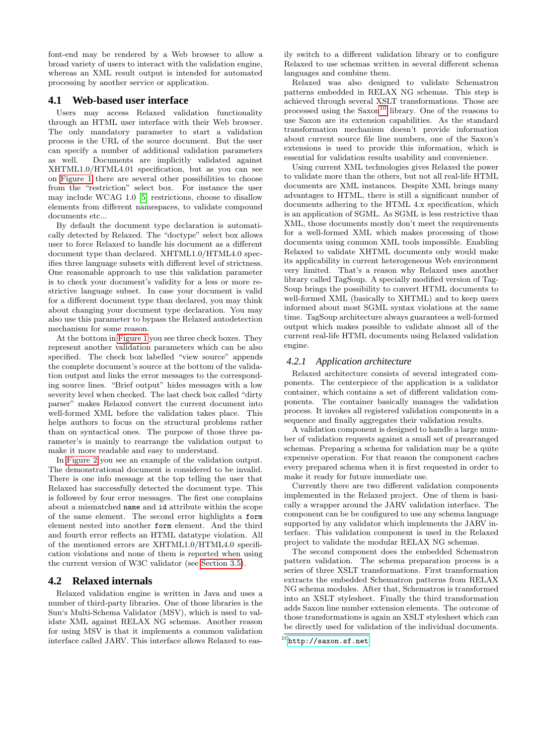font-end may be rendered by a Web browser to allow a broad variety of users to interact with the validation engine, whereas an XML result output is intended for automated processing by another service or application.

### **4.1 Web-based user interface**

<span id="page-5-2"></span>Users may access Relaxed validation functionality through an HTML user interface with their Web browser. The only mandatory parameter to start a validation process is the URL of the source document. But the user can specify a number of additional validation parameters as well. Documents are implicitly validated against XHTML1.0/HTML4.01 specification, but as you can see on [Figure 1](#page-6-1) there are several other possibilities to choose from the "restriction" select box. For instance the user may include WCAG 1.0 [\[5\]](#page-9-6) restrictions, choose to disallow elements from different namespaces, to validate compound documents etc...

By default the document type declaration is automatically detected by Relaxed. The "doctype" select box allows user to force Relaxed to handle his document as a different document type than declared. XHTML1.0/HTML4.0 specifies three language subsets with different level of strictness. One reasonable approach to use this validation parameter is to check your document's validity for a less or more restrictive language subset. In case your document is valid for a different document type than declared, you may think about changing your document type declaration. You may also use this parameter to bypass the Relaxed autodetection mechanism for some reason.

At the bottom in [Figure 1](#page-6-1) you see three check boxes. They represent another validation parameters which can be also specified. The check box labelled "view source" appends the complete document's source at the bottom of the validation output and links the error messages to the corresponding source lines. "Brief output" hides messages with a low severity level when checked. The last check box called "dirty parser" makes Relaxed convert the current document into well-formed XML before the validation takes place. This helps authors to focus on the structural problems rather than on syntactical ones. The purpose of those three parameter's is mainly to rearrange the validation output to make it more readable and easy to understand.

In [Figure 2](#page-6-0) you see an example of the validation output. The demonstrational document is considered to be invalid. There is one info message at the top telling the user that Relaxed has successfully detected the document type. This is followed by four error messages. The first one complains about a mismatched name and id attribute within the scope of the same element. The second error highlights a form element nested into another form element. And the third and fourth error reflects an HTML datatype violation. All of the mentioned errors are XHTML1.0/HTML4.0 specification violations and none of them is reported when using the current version of W3C validator (see [Section 3.5\)](#page-4-9).

# **4.2 Relaxed internals**

<span id="page-5-1"></span>Relaxed validation engine is written in Java and uses a number of third-party libraries. One of those libraries is the Sun's Multi-Schema Validator (MSV), which is used to validate XML against RELAX NG schemas. Another reason for using MSV is that it implements a common validation interface called JARV. This interface allows Relaxed to eas-

ily switch to a different validation library or to configure Relaxed to use schemas written in several different schema languages and combine them.

Relaxed was also designed to validate Schematron patterns embedded in RELAX NG schemas. This step is achieved through several XSLT transformations. Those are processed using the Saxon<sup>[10](#page-5-0)</sup> library. One of the reasons to use Saxon are its extension capabilities. As the standard transformation mechanism doesn't provide information about current source file line numbers, one of the Saxon's extensions is used to provide this information, which is essential for validation results usability and convenience.

Using current XML technologies gives Relaxed the power to validate more than the others, but not all real-life HTML documents are XML instances. Despite XML brings many advantages to HTML, there is still a significant number of documents adhering to the HTML 4.x specification, which is an application of SGML. As SGML is less restrictive than XML, those documents mostly don't meet the requirements for a well-formed XML which makes processing of those documents using common XML tools impossible. Enabling Relaxed to validate XHTML documents only would make its applicability in current heterogeneous Web environment very limited. That's a reason why Relaxed uses another library called TagSoup. A specially modified version of Tag-Soup brings the possibility to convert HTML documents to well-formed XML (basically to XHTML) and to keep users informed about most SGML syntax violations at the same time. TagSoup architecture always guarantees a well-formed output which makes possible to validate almost all of the current real-life HTML documents using Relaxed validation engine.

### *4.2.1 Application architecture*

Relaxed architecture consists of several integrated components. The centerpiece of the application is a validator container, which contains a set of different validation components. The container basically manages the validation process. It invokes all registered validation components in a sequence and finally aggregates their validation results.

A validation component is designed to handle a large number of validation requests against a small set of prearranged schemas. Preparing a schema for validation may be a quite expensive operation. For that reason the component caches every prepared schema when it is first requested in order to make it ready for future immediate use.

Currently there are two different validation components implemented in the Relaxed project. One of them is basically a wrapper around the JARV validation interface. The component can be be configured to use any schema language supported by any validator which implements the JARV interface. This validation component is used in the Relaxed project to validate the modular RELAX NG schemas.

The second component does the embedded Schematron pattern validation. The schema preparation process is a series of three XSLT transformations. First transformation extracts the embedded Schematron patterns from RELAX NG schema modules. After that, Schematron is transformed into an XSLT stylesheet. Finally the third transformation adds Saxon line number extension elements. The outcome of those transformations is again an XSLT stylesheet which can be directly used for validation of the individual documents.

<span id="page-5-0"></span> $^{10}$ <http://saxon.sf.net>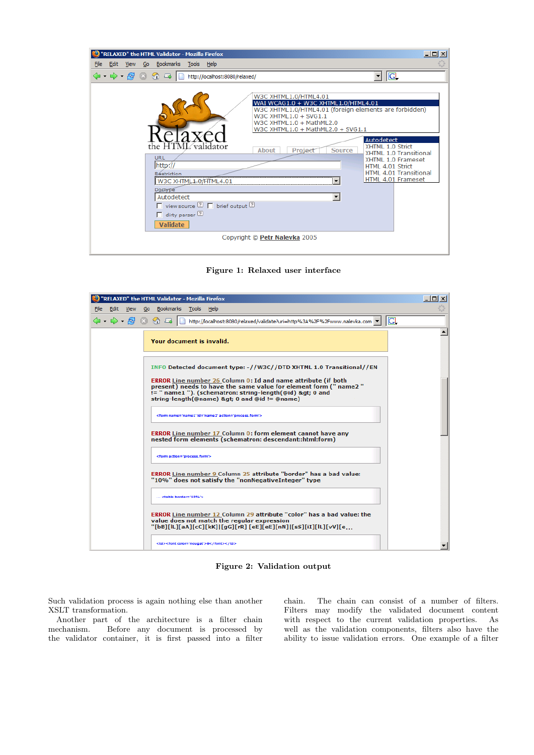| "RELAXED" the HTML Validator - Mozilla Firefox                                                                                                                                                                                                                                                                                                                                                                                                                                                                                                                                                                                                                     | $-10x$ |
|--------------------------------------------------------------------------------------------------------------------------------------------------------------------------------------------------------------------------------------------------------------------------------------------------------------------------------------------------------------------------------------------------------------------------------------------------------------------------------------------------------------------------------------------------------------------------------------------------------------------------------------------------------------------|--------|
| Go Bookmarks<br>Edit View<br>Tools Help<br>File                                                                                                                                                                                                                                                                                                                                                                                                                                                                                                                                                                                                                    |        |
| $\mathbf{I}$ $\mathbf{G}$<br>$\left\langle \!\!\left\langle \!\!\left\langle \cdot\right. \right\rangle \cdot \left\langle \!\!\left\langle \!\!\left\langle \cdot\right\rangle \right\rangle \right\rangle \otimes \left\langle \!\!\left\langle \cdot\right\rangle \right\rangle \otimes \left\langle \!\!\left\langle \cdot\right\rangle \right\rangle \right\rangle_{\text{C}}$ http://localhost:8080/relaxed/                                                                                                                                                                                                                                                 |        |
| W3C XHTML1.0/HTML4.01<br>WAI WCAG1.0 + W3C XHTML1.0/HTML4.01<br>W3C XHTML1.0/HTML4.01 (foreign elements are forbidden)<br>W3C XHTML $1.0 + SVG1.1$<br>W3C XHTML $1.0 + \text{MathML2.0}$<br>W3C XHTML1.0 + MathML2.0 + SVG1.1<br>Autodetect<br>the HTML⁄ validator<br>XHTML 1.0 Strict<br><b>About</b><br>Project<br><b>Source</b><br>XHTML 1.0 Transitional<br>URL<br>XHTML 1.0 Frameset<br>http://<br>HTML 4.01 Strict<br>HTML 4.01 Transitional<br>Restriction<br>HTML 4.01 Frameset<br>I W3C XHTML1 <del>.0/</del> HTML4.01<br>Doctype<br>Autodetect<br>$\Box$ view source $\Box$ $\Box$ brief output $\Box$<br>dirty parser <sup>[7]</sup><br><b>Validate</b> |        |
| Copyright © Petr Nalevka 2005                                                                                                                                                                                                                                                                                                                                                                                                                                                                                                                                                                                                                                      |        |

Figure 1: Relaxed user interface

<span id="page-6-1"></span>

Figure 2: Validation output

<span id="page-6-0"></span>Such validation process is again nothing else than another XSLT transformation.

Another part of the architecture is a filter chain mechanism. Before any document is processed by the validator container, it is first passed into a filter

chain. The chain can consist of a number of filters. Filters may modify the validated document content with respect to the current validation properties. As well as the validation components, filters also have the ability to issue validation errors. One example of a filter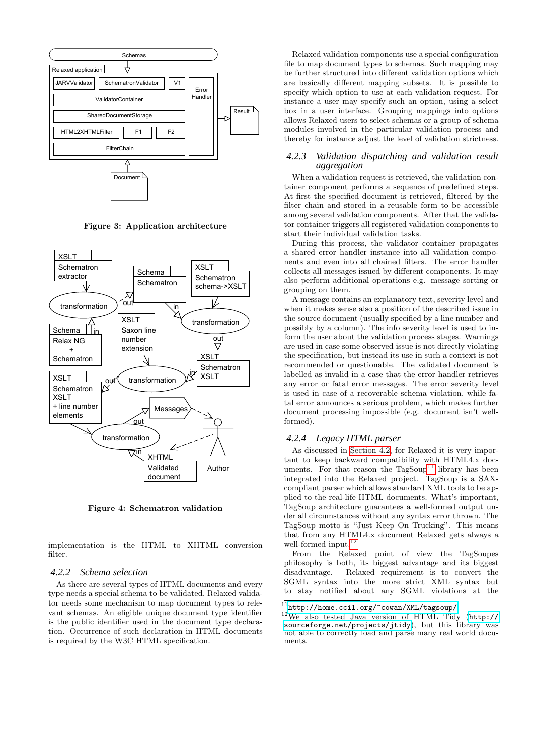

Figure 3: Application architecture



Figure 4: Schematron validation

implementation is the HTML to XHTML conversion filter.

#### *4.2.2 Schema selection*

<span id="page-7-2"></span>As there are several types of HTML documents and every type needs a special schema to be validated, Relaxed validator needs some mechanism to map document types to relevant schemas. An eligible unique document type identifier is the public identifier used in the document type declaration. Occurrence of such declaration in HTML documents is required by the W3C HTML specification.

Relaxed validation components use a special configuration file to map document types to schemas. Such mapping may be further structured into different validation options which are basically different mapping subsets. It is possible to specify which option to use at each validation request. For instance a user may specify such an option, using a select box in a user interface. Grouping mappings into options allows Relaxed users to select schemas or a group of schema modules involved in the particular validation process and thereby for instance adjust the level of validation strictness.

#### *4.2.3 Validation dispatching and validation result aggregation*

When a validation request is retrieved, the validation container component performs a sequence of predefined steps. At first the specified document is retrieved, filtered by the filter chain and stored in a reusable form to be accessible among several validation components. After that the validator container triggers all registered validation components to start their individual validation tasks.

During this process, the validator container propagates a shared error handler instance into all validation components and even into all chained filters. The error handler collects all messages issued by different components. It may also perform additional operations e.g. message sorting or grouping on them.

A message contains an explanatory text, severity level and when it makes sense also a position of the described issue in the source document (usually specified by a line number and possibly by a column). The info severity level is used to inform the user about the validation process stages. Warnings are used in case some observed issue is not directly violating the specification, but instead its use in such a context is not recommended or questionable. The validated document is labelled as invalid in a case that the error handler retrieves any error or fatal error messages. The error severity level is used in case of a recoverable schema violation, while fatal error announces a serious problem, which makes further document processing impossible (e.g. document isn't wellformed).

### *4.2.4 Legacy HTML parser*

As discussed in [Section 4.2,](#page-5-1) for Relaxed it is very important to keep backward compatibility with HTML4.x documents. For that reason the  $TagSoup<sup>11</sup>$  $TagSoup<sup>11</sup>$  $TagSoup<sup>11</sup>$  library has been integrated into the Relaxed project. TagSoup is a SAXcompliant parser which allows standard XML tools to be applied to the real-life HTML documents. What's important, TagSoup architecture guarantees a well-formed output under all circumstances without any syntax error thrown. The TagSoup motto is "Just Keep On Trucking". This means that from any HTML4.x document Relaxed gets always a well-formed input.<sup>[12](#page-7-1)</sup>

From the Relaxed point of view the TagSoupes philosophy is both, its biggest advantage and its biggest Relaxed requirement is to convert the SGML syntax into the more strict XML syntax but to stay notified about any SGML violations at the

<span id="page-7-0"></span><sup>11</sup><http://home.ccil.org/~cowan/XML/tagsoup/>

<span id="page-7-1"></span><sup>12</sup>We also tested Java version of HTML Tidy ([http://](http://sourceforge.net/projects/jtidy) [sourceforge.net/projects/jtidy](http://sourceforge.net/projects/jtidy)), but this library was not able to correctly load and parse many real world documents.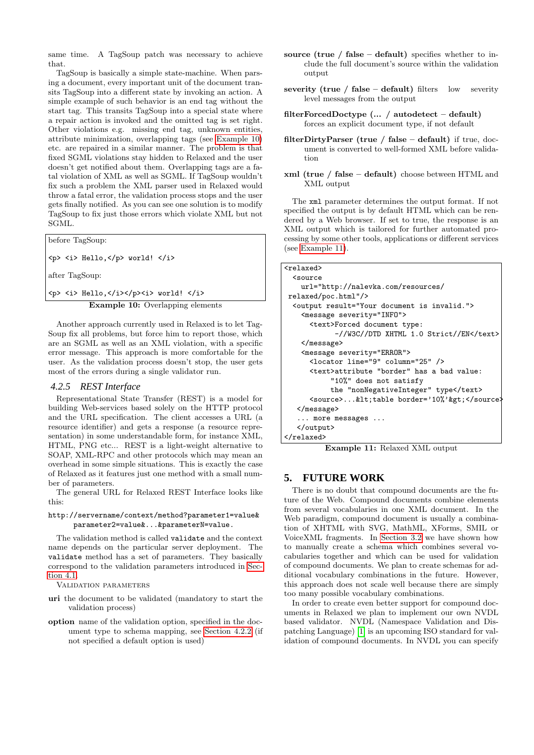same time. A TagSoup patch was necessary to achieve that.

TagSoup is basically a simple state-machine. When parsing a document, every important unit of the document transits TagSoup into a different state by invoking an action. A simple example of such behavior is an end tag without the start tag. This transits TagSoup into a special state where a repair action is invoked and the omitted tag is set right. Other violations e.g. missing end tag, unknown entities, attribute minimization, overlapping tags (see [Example 10\)](#page-8-0) etc. are repaired in a similar manner. The problem is that fixed SGML violations stay hidden to Relaxed and the user doesn't get notified about them. Overlapping tags are a fatal violation of XML as well as SGML. If TagSoup wouldn't fix such a problem the XML parser used in Relaxed would throw a fatal error, the validation process stops and the user gets finally notified. As you can see one solution is to modify TagSoup to fix just those errors which violate XML but not SGML.

before TagSoup:

<p> <i> Hello,</p> world! </i>

after TagSoup:

<span id="page-8-0"></span><p> <i> Hello,</i></p><i> world! </i>

Example 10: Overlapping elements

Another approach currently used in Relaxed is to let Tag-Soup fix all problems, but force him to report those, which are an SGML as well as an XML violation, with a specific error message. This approach is more comfortable for the user. As the validation process doesn't stop, the user gets most of the errors during a single validator run.

#### *4.2.5 REST Interface*

Representational State Transfer (REST) is a model for building Web-services based solely on the HTTP protocol and the URL specification. The client accesses a URL (a resource identifier) and gets a response (a resource representation) in some understandable form, for instance XML, HTML, PNG etc... REST is a light-weight alternative to SOAP, XML-RPC and other protocols which may mean an overhead in some simple situations. This is exactly the case of Relaxed as it features just one method with a small number of parameters.

The general URL for Relaxed REST Interface looks like this:

#### http://servername/context/method?parameter1=value& parameter2=value&...&parameterN=value.

The validation method is called validate and the context name depends on the particular server deployment. The validate method has a set of parameters. They basically correspond to the validation parameters introduced in [Sec](#page-5-2)[tion 4.1.](#page-5-2)

Validation parameters

- uri the document to be validated (mandatory to start the validation process)
- option name of the validation option, specified in the document type to schema mapping, see [Section 4.2.2](#page-7-2) (if not specified a default option is used)
- source (true / false default) specifies whether to include the full document's source within the validation output
- severity (true / false default) filters low severity level messages from the output

filterForcedDoctype (... / autodetect – default) forces an explicit document type, if not default

- filterDirtyParser (true / false default) if true, document is converted to well-formed XML before validation
- xml (true / false default) choose between HTML and XML output

The xml parameter determines the output format. If not specified the output is by default HTML which can be rendered by a Web browser. If set to true, the response is an XML output which is tailored for further automated processing by some other tools, applications or different services (see [Example 11\)](#page-8-1).

```
<relaxed>
 <source
   url="http://nalevka.com/resources/
relaxed/poc.html"/>
 <output result="Your document is invalid.">
   <message severity="INFO">
      <text>Forced document type:
            -//W3C//DTD XHTML 1.0 Strict//EN</text>
   </message>
    <message severity="ERROR">
      <locator line="9" column="25" />
      <text>attribute "border" has a bad value:
           "10%" does not satisfy
           the "nonNegativeInteger" type</text>
      <source>... &lt;table border='10%' &gt; </source>
  </message>
   ... more messages ...
   </output>
</relaxed>
```
Example 11: Relaxed XML output

# <span id="page-8-1"></span>**5. FUTURE WORK**

There is no doubt that compound documents are the future of the Web. Compound documents combine elements from several vocabularies in one XML document. In the Web paradigm, compound document is usually a combination of XHTML with SVG, MathML, XForms, SMIL or VoiceXML fragments. In [Section 3.2](#page-2-1) we have shown how to manually create a schema which combines several vocabularies together and which can be used for validation of compound documents. We plan to create schemas for additional vocabulary combinations in the future. However, this approach does not scale well because there are simply too many possible vocabulary combinations.

In order to create even better support for compound documents in Relaxed we plan to implement our own NVDL based validator. NVDL (Namespace Validation and Dispatching Language) [\[1\]](#page-9-7) is an upcoming ISO standard for validation of compound documents. In NVDL you can specify